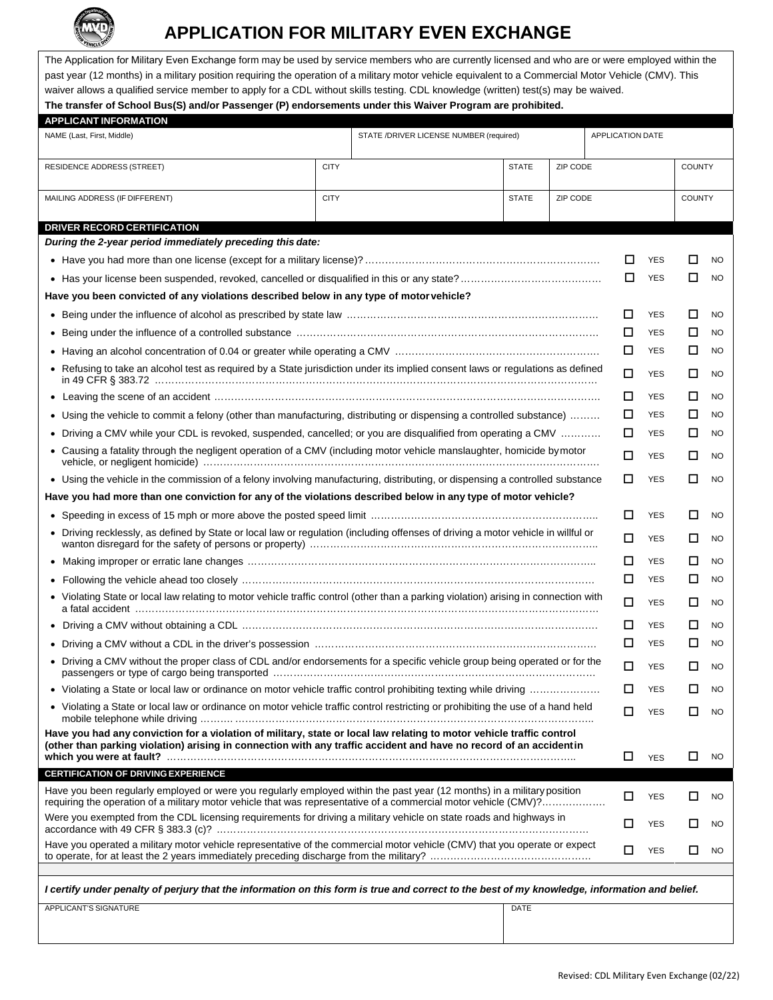

## **APPLICATION FOR MILITARY EVEN EXCHANGE**

The Application for Military Even Exchange form may be used by service members who are currently licensed and who are or were employed within the past year (12 months) in a military position requiring the operation of a military motor vehicle equivalent to a Commercial Motor Vehicle (CMV). This waiver allows a qualified service member to apply for a CDL without skills testing. CDL knowledge (written) test(s) may be waived. **The transfer of School Bus(S) and/or Passenger (P) endorsements under this Waiver Program are prohibited.**

| <b>APPLICANT INFORMATION</b>                                                                                                                                                                                                                |                             |                                         |          |   |                         |            |               |           |           |
|---------------------------------------------------------------------------------------------------------------------------------------------------------------------------------------------------------------------------------------------|-----------------------------|-----------------------------------------|----------|---|-------------------------|------------|---------------|-----------|-----------|
| NAME (Last, First, Middle)                                                                                                                                                                                                                  |                             | STATE /DRIVER LICENSE NUMBER (required) |          |   | <b>APPLICATION DATE</b> |            |               |           |           |
| RESIDENCE ADDRESS (STREET)                                                                                                                                                                                                                  | <b>CITY</b><br><b>STATE</b> |                                         | ZIP CODE |   |                         |            | <b>COUNTY</b> |           |           |
| ZIP CODE<br>MAILING ADDRESS (IF DIFFERENT)<br><b>CITY</b><br><b>STATE</b>                                                                                                                                                                   |                             |                                         |          |   |                         |            | <b>COUNTY</b> |           |           |
| DRIVER RECORD CERTIFICATION                                                                                                                                                                                                                 |                             |                                         |          |   |                         |            |               |           |           |
| During the 2-year period immediately preceding this date:                                                                                                                                                                                   |                             |                                         |          |   |                         |            |               |           |           |
|                                                                                                                                                                                                                                             |                             |                                         |          |   |                         | ப          | <b>YES</b>    | ப         | <b>NO</b> |
|                                                                                                                                                                                                                                             |                             |                                         |          |   | □                       | <b>YES</b> | □             | <b>NO</b> |           |
| Have you been convicted of any violations described below in any type of motor vehicle?                                                                                                                                                     |                             |                                         |          |   |                         |            |               |           |           |
|                                                                                                                                                                                                                                             |                             |                                         |          |   |                         | □          | <b>YES</b>    | □         | <b>NO</b> |
| ٠                                                                                                                                                                                                                                           |                             |                                         |          |   |                         | □          | <b>YES</b>    | □         | <b>NO</b> |
|                                                                                                                                                                                                                                             |                             |                                         |          |   |                         | □          | <b>YES</b>    | □         | <b>NO</b> |
| • Refusing to take an alcohol test as required by a State jurisdiction under its implied consent laws or regulations as defined                                                                                                             |                             |                                         |          |   | п                       | <b>YES</b> | □             | <b>NO</b> |           |
|                                                                                                                                                                                                                                             |                             |                                         |          |   |                         | □          | <b>YES</b>    | □         | <b>NO</b> |
| Using the vehicle to commit a felony (other than manufacturing, distributing or dispensing a controlled substance)                                                                                                                          |                             |                                         |          | □ | <b>YES</b>              | □          | <b>NO</b>     |           |           |
| Driving a CMV while your CDL is revoked, suspended, cancelled; or you are disqualified from operating a CMV                                                                                                                                 |                             |                                         |          | □ | <b>YES</b>              | □          | <b>NO</b>     |           |           |
| • Causing a fatality through the negligent operation of a CMV (including motor vehicle manslaughter, homicide by motor                                                                                                                      |                             |                                         |          |   | п                       | <b>YES</b> | □             | <b>NO</b> |           |
| • Using the vehicle in the commission of a felony involving manufacturing, distributing, or dispensing a controlled substance                                                                                                               |                             |                                         |          |   |                         | □          | <b>YES</b>    | □         | <b>NO</b> |
| Have you had more than one conviction for any of the violations described below in any type of motor vehicle?                                                                                                                               |                             |                                         |          |   |                         |            |               |           |           |
|                                                                                                                                                                                                                                             |                             |                                         |          |   |                         | □          | <b>YES</b>    | □         | <b>NO</b> |
| Driving recklessly, as defined by State or local law or regulation (including offenses of driving a motor vehicle in willful or                                                                                                             |                             |                                         |          |   |                         | п          | <b>YES</b>    | □         | <b>NO</b> |
|                                                                                                                                                                                                                                             |                             |                                         |          |   |                         | □          | <b>YES</b>    | □         | <b>NO</b> |
|                                                                                                                                                                                                                                             |                             |                                         |          |   |                         | □          | <b>YES</b>    | □         | <b>NO</b> |
| • Violating State or local law relating to motor vehicle traffic control (other than a parking violation) arising in connection with                                                                                                        |                             |                                         |          |   |                         | □          | <b>YES</b>    | □         | <b>NO</b> |
|                                                                                                                                                                                                                                             |                             |                                         |          |   |                         | □          | <b>YES</b>    | □         | <b>NO</b> |
|                                                                                                                                                                                                                                             |                             |                                         |          |   |                         | □          | <b>YES</b>    | □         | <b>NO</b> |
| Driving a CMV without the proper class of CDL and/or endorsements for a specific vehicle group being operated or for the                                                                                                                    |                             |                                         |          |   |                         | □          | <b>YES</b>    | □         | <b>NO</b> |
| • Violating a State or local law or ordinance on motor vehicle traffic control prohibiting texting while driving                                                                                                                            |                             |                                         |          |   |                         | □          | YES           | □         | <b>NO</b> |
| • Violating a State or local law or ordinance on motor vehicle traffic control restricting or prohibiting the use of a hand held                                                                                                            |                             |                                         |          |   | □                       | <b>YES</b> | □             | <b>NO</b> |           |
| Have you had any conviction for a violation of military, state or local law relating to motor vehicle traffic control<br>(other than parking violation) arising in connection with any traffic accident and have no record of an accidentin |                             |                                         |          |   |                         |            |               |           |           |
|                                                                                                                                                                                                                                             |                             |                                         |          |   |                         | □          | <b>YES</b>    | □         | <b>NO</b> |
| <b>CERTIFICATION OF DRIVING EXPERIENCE</b>                                                                                                                                                                                                  |                             |                                         |          |   |                         |            |               |           |           |
| Have you been regularly employed or were you regularly employed within the past year (12 months) in a military position<br>requiring the operation of a military motor vehicle that was representative of a commercial motor vehicle (CMV)? |                             |                                         |          |   |                         | □          | YES           | □         | NO        |
| Were you exempted from the CDL licensing requirements for driving a military vehicle on state roads and highways in                                                                                                                         |                             |                                         |          |   | □                       | YES        | □             | <b>NO</b> |           |
| Have you operated a military motor vehicle representative of the commercial motor vehicle (CMV) that you operate or expect                                                                                                                  |                             |                                         |          | □ | <b>YES</b>              | □          | <b>NO</b>     |           |           |
|                                                                                                                                                                                                                                             |                             |                                         |          |   |                         |            |               |           |           |
| I certify under penalty of perjury that the information on this form is true and correct to the best of my knowledge, information and belief.                                                                                               |                             |                                         |          |   |                         |            |               |           |           |
| APPLICANT'S SIGNATURE                                                                                                                                                                                                                       |                             |                                         | DATE     |   |                         |            |               |           |           |